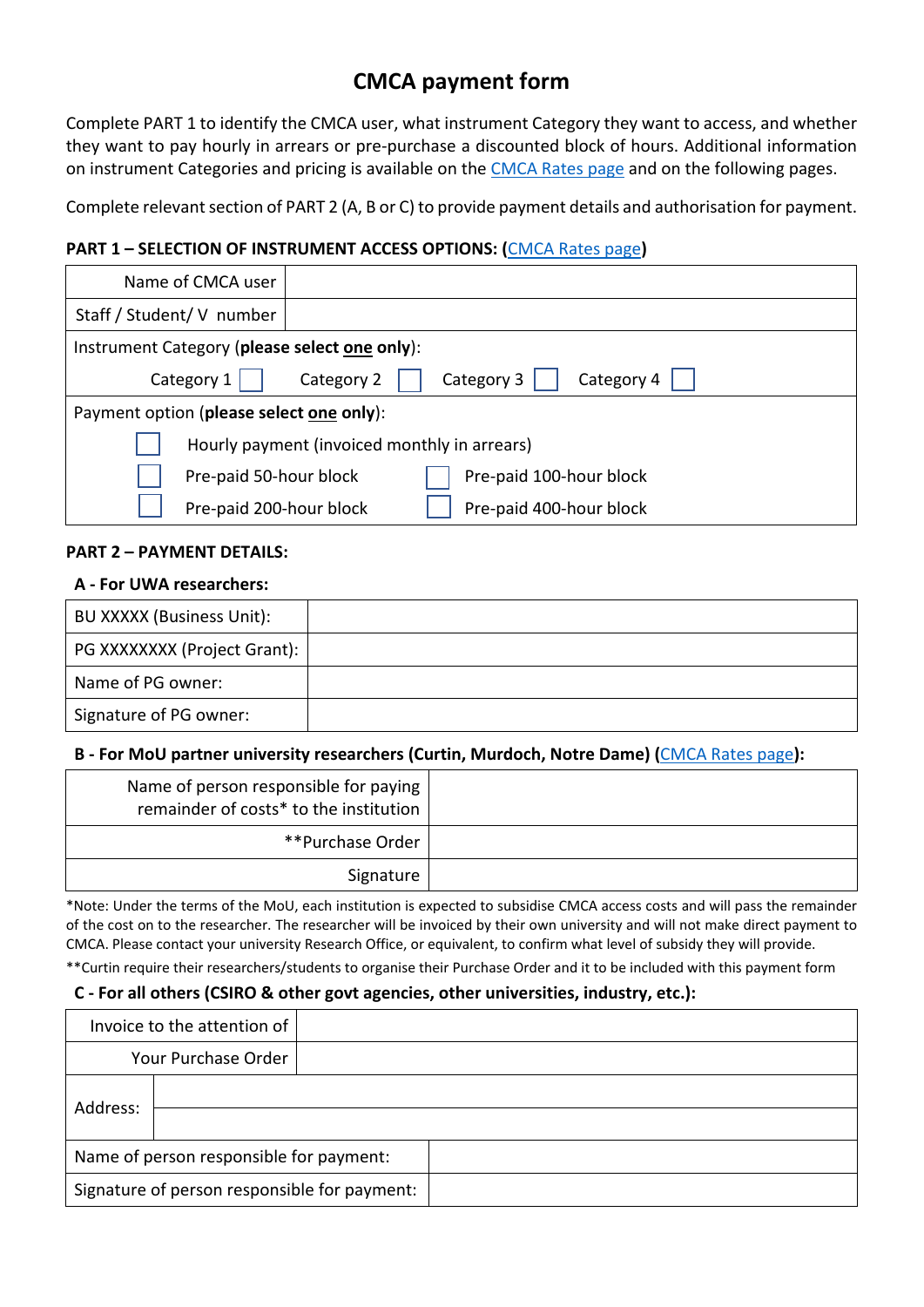# **CMCA payment form**

Complete PART 1 to identify the CMCA user, what instrument Category they want to access, and whether they want to pay hourly in arrears or pre-purchase a discounted block of hours. Additional information on instrument Categories and pricing is available on the CMCA Rates page and on the following pages.

Complete relevant section of PART 2 (A, B or C) to provide payment details and authorisation for payment.

## **PART 1 – SELECTION OF INSTRUMENT ACCESS OPTIONS: (**CMCA Rates page**)**

| Name of CMCA user                             |                                              |
|-----------------------------------------------|----------------------------------------------|
| Staff / Student/ V number                     |                                              |
| Instrument Category (please select one only): |                                              |
| Category 1                                    | Category 4<br>Category 3<br>Category 2       |
| Payment option (please select one only):      |                                              |
|                                               | Hourly payment (invoiced monthly in arrears) |
| Pre-paid 50-hour block                        | Pre-paid 100-hour block                      |
| Pre-paid 200-hour block                       | Pre-paid 400-hour block                      |

## **PART 2 – PAYMENT DETAILS:**

#### **A - For UWA researchers:**

| BU XXXXX (Business Unit):    |  |
|------------------------------|--|
| PG XXXXXXXX (Project Grant): |  |
| Name of PG owner:            |  |
| Signature of PG owner:       |  |

## **B - For MoU partner university researchers (Curtin, Murdoch, Notre Dame) (**CMCA Rates page**):**

| Name of person responsible for paying<br>remainder of costs* to the institution |
|---------------------------------------------------------------------------------|
| **Purchase Order                                                                |
| Signature                                                                       |

\*Note: Under the terms of the MoU, each institution is expected to subsidise CMCA access costs and will pass the remainder of the cost on to the researcher. The researcher will be invoiced by their own university and will not make direct payment to CMCA. Please contact your university Research Office, or equivalent, to confirm what level of subsidy they will provide.

\*\*Curtin require their researchers/students to organise their Purchase Order and it to be included with this payment form

## **C - For all others (CSIRO & other govt agencies, other universities, industry, etc.):**

|                                              | Invoice to the attention of             |  |  |  |  |
|----------------------------------------------|-----------------------------------------|--|--|--|--|
|                                              | Your Purchase Order                     |  |  |  |  |
| Address:                                     |                                         |  |  |  |  |
|                                              |                                         |  |  |  |  |
|                                              | Name of person responsible for payment: |  |  |  |  |
| Signature of person responsible for payment: |                                         |  |  |  |  |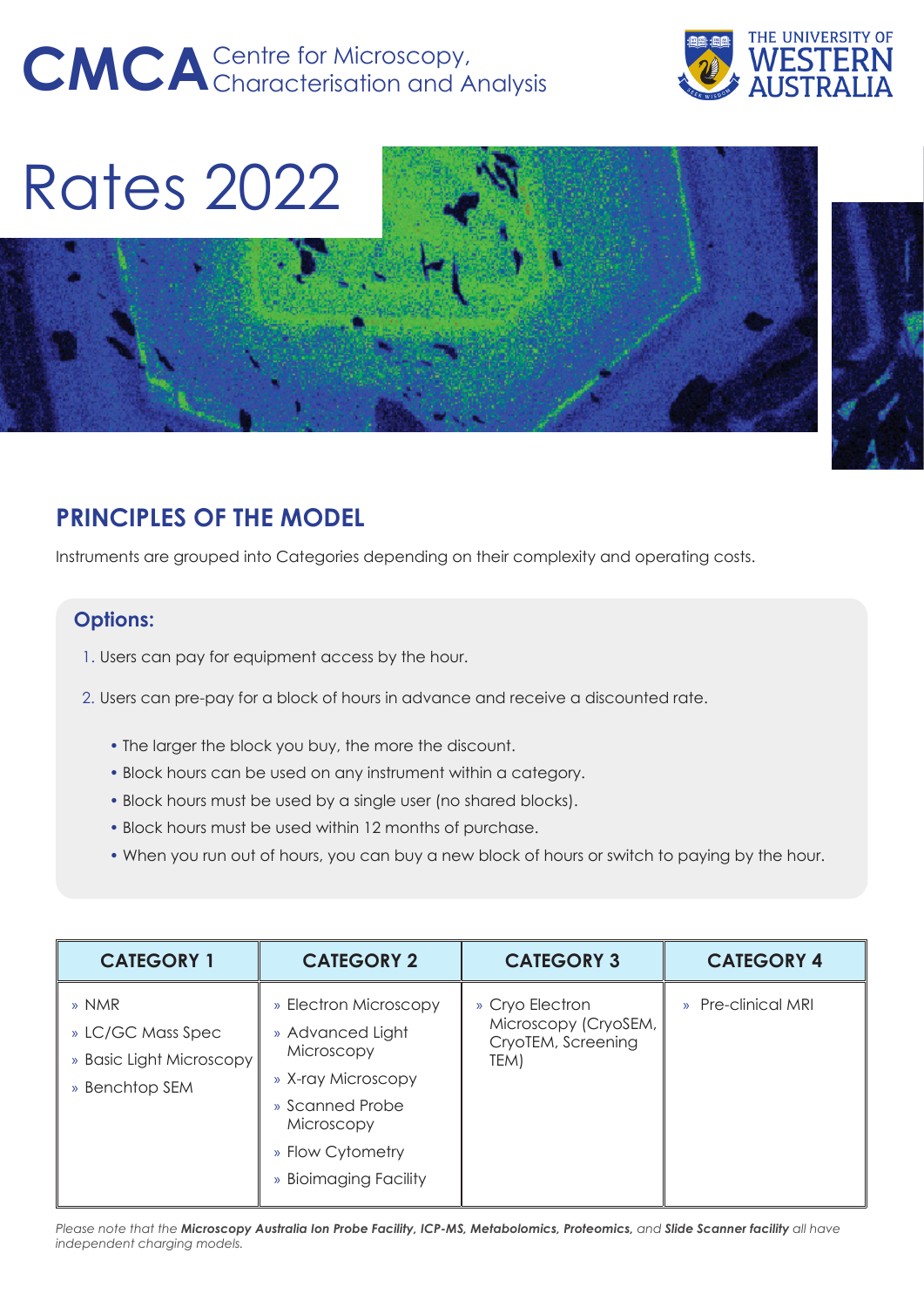# CMCA<sup>Centre</sup> for Microscopy,<br> **CMCA**Characterisation and Analysis



Rates 2022

# **PRINCIPLES OF THE MODEL**

Instruments are grouped into Categories depending on their complexity and operating costs.

# **Options:**

- 1. Users can pay for equipment access by the hour.
- 2. Users can pre-pay for a block of hours in advance and receive a discounted rate.
	- The larger the block you buy, the more the discount.
	- Block hours can be used on any instrument within a category.
	- Block hours must be used by a single user (no shared blocks).
	- Block hours must be used within 12 months of purchase.
	- When you run out of hours, you can buy a new block of hours or switch to paying by the hour.

| <b>CATEGORY 1</b>                                                        | <b>CATEGORY 2</b>                                                                                                                                           | <b>CATEGORY 3</b>                                                     | <b>CATEGORY 4</b>  |
|--------------------------------------------------------------------------|-------------------------------------------------------------------------------------------------------------------------------------------------------------|-----------------------------------------------------------------------|--------------------|
| » NMR<br>» LC/GC Mass Spec<br>» Basic Light Microscopy<br>» Benchtop SEM | » Electron Microscopy<br>» Advanced Light<br>Microscopy<br>» X-ray Microscopy<br>» Scanned Probe<br>Microscopy<br>» Flow Cytometry<br>» Bioimaging Facility | » Cryo Electron<br>Microscopy (CryoSEM,<br>CryoTEM, Screening<br>TEM) | » Pre-clinical MRI |